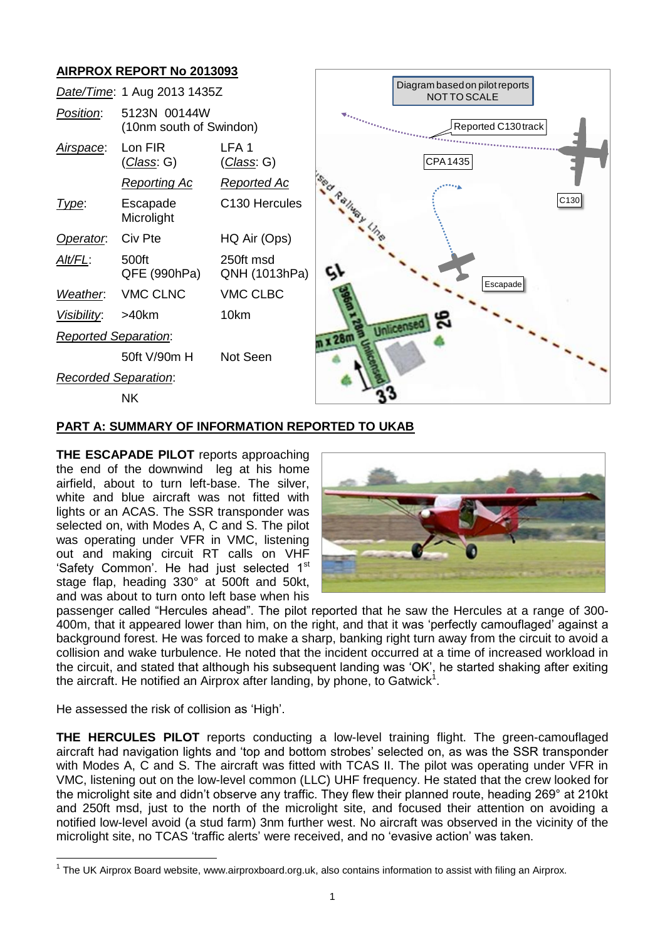# **AIRPROX REPORT No 2013093**



### **PART A: SUMMARY OF INFORMATION REPORTED TO UKAB**

**THE ESCAPADE PILOT** reports approaching the end of the downwind leg at his home airfield, about to turn left-base. The silver, white and blue aircraft was not fitted with lights or an ACAS. The SSR transponder was selected on, with Modes A, C and S. The pilot was operating under VFR in VMC, listening out and making circuit RT calls on VHF 'Safety Common'. He had just selected 1<sup>st</sup> stage flap, heading 330° at 500ft and 50kt, and was about to turn onto left base when his



passenger called "Hercules ahead". The pilot reported that he saw the Hercules at a range of 300- 400m, that it appeared lower than him, on the right, and that it was 'perfectly camouflaged' against a background forest. He was forced to make a sharp, banking right turn away from the circuit to avoid a collision and wake turbulence. He noted that the incident occurred at a time of increased workload in the circuit, and stated that although his subsequent landing was 'OK', he started shaking after exiting the aircraft. He notified an Airprox after landing, by phone, to Gatwick<sup>1</sup>.

He assessed the risk of collision as 'High'.

 $\overline{a}$ 

**THE HERCULES PILOT** reports conducting a low-level training flight. The green-camouflaged aircraft had navigation lights and 'top and bottom strobes' selected on, as was the SSR transponder with Modes A, C and S. The aircraft was fitted with TCAS II. The pilot was operating under VFR in VMC, listening out on the low-level common (LLC) UHF frequency. He stated that the crew looked for the microlight site and didn't observe any traffic. They flew their planned route, heading 269° at 210kt and 250ft msd, just to the north of the microlight site, and focused their attention on avoiding a notified low-level avoid (a stud farm) 3nm further west. No aircraft was observed in the vicinity of the microlight site, no TCAS 'traffic alerts' were received, and no 'evasive action' was taken.

<sup>&</sup>lt;sup>1</sup> The UK Airprox Board website, www.airproxboard.org.uk, also contains information to assist with filing an Airprox.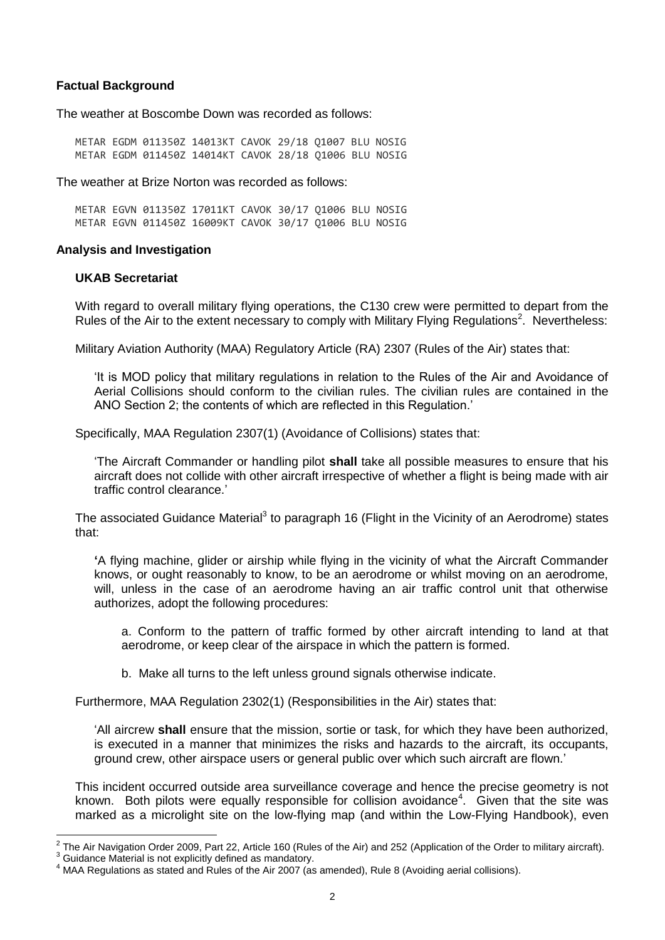### **Factual Background**

The weather at Boscombe Down was recorded as follows:

METAR EGDM 011350Z 14013KT CAVOK 29/18 Q1007 BLU NOSIG METAR EGDM 011450Z 14014KT CAVOK 28/18 Q1006 BLU NOSIG

The weather at Brize Norton was recorded as follows:

METAR EGVN 011350Z 17011KT CAVOK 30/17 Q1006 BLU NOSIG METAR EGVN 011450Z 16009KT CAVOK 30/17 Q1006 BLU NOSIG

### **Analysis and Investigation**

#### **UKAB Secretariat**

With regard to overall military flying operations, the C130 crew were permitted to depart from the Rules of the Air to the extent necessary to comply with Military Flying Regulations<sup>2</sup>. Nevertheless:

Military Aviation Authority (MAA) Regulatory Article (RA) 2307 (Rules of the Air) states that:

'It is MOD policy that military regulations in relation to the Rules of the Air and Avoidance of Aerial Collisions should conform to the civilian rules. The civilian rules are contained in the ANO Section 2; the contents of which are reflected in this Regulation.'

Specifically, MAA Regulation 2307(1) (Avoidance of Collisions) states that:

'The Aircraft Commander or handling pilot **shall** take all possible measures to ensure that his aircraft does not collide with other aircraft irrespective of whether a flight is being made with air traffic control clearance.'

The associated Guidance Material<sup>3</sup> to paragraph 16 (Flight in the Vicinity of an Aerodrome) states that:

**'**A flying machine, glider or airship while flying in the vicinity of what the Aircraft Commander knows, or ought reasonably to know, to be an aerodrome or whilst moving on an aerodrome, will, unless in the case of an aerodrome having an air traffic control unit that otherwise authorizes, adopt the following procedures:

a. Conform to the pattern of traffic formed by other aircraft intending to land at that aerodrome, or keep clear of the airspace in which the pattern is formed.

b. Make all turns to the left unless ground signals otherwise indicate.

Furthermore, MAA Regulation 2302(1) (Responsibilities in the Air) states that:

'All aircrew **shall** ensure that the mission, sortie or task, for which they have been authorized, is executed in a manner that minimizes the risks and hazards to the aircraft, its occupants, ground crew, other airspace users or general public over which such aircraft are flown.'

This incident occurred outside area surveillance coverage and hence the precise geometry is not known. Both pilots were equally responsible for collision avoidance<sup>4</sup>. Given that the site was marked as a microlight site on the low-flying map (and within the Low-Flying Handbook), even

 $^2$  The Air Navigation Order 2009, Part 22, Article 160 (Rules of the Air) and 252 (Application of the Order to military aircraft).

Guidance Material is not explicitly defined as mandatory.

 $4$  MAA Regulations as stated and Rules of the Air 2007 (as amended), Rule 8 (Avoiding aerial collisions).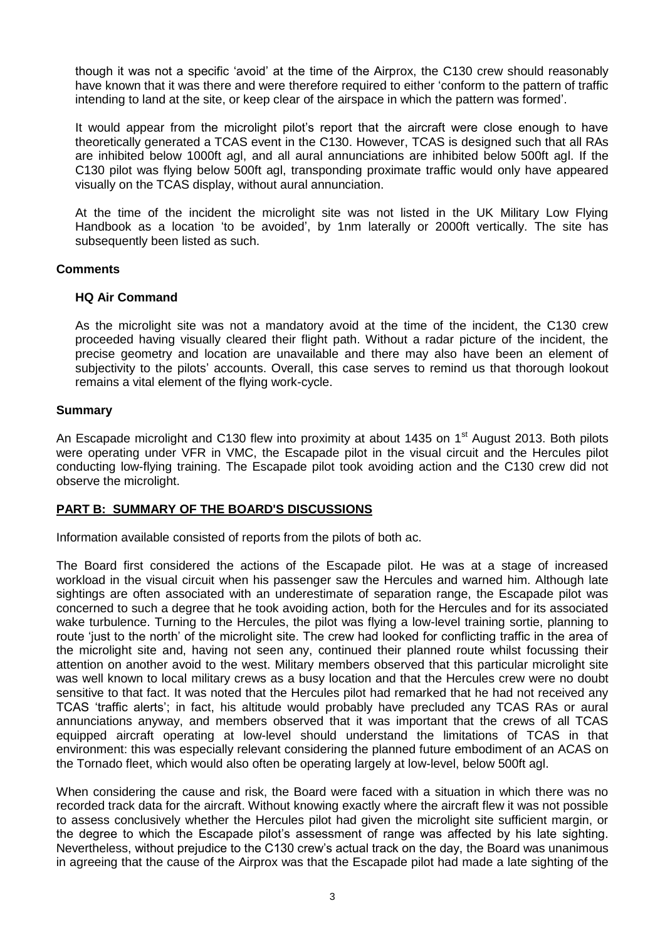though it was not a specific 'avoid' at the time of the Airprox, the C130 crew should reasonably have known that it was there and were therefore required to either 'conform to the pattern of traffic intending to land at the site, or keep clear of the airspace in which the pattern was formed'.

It would appear from the microlight pilot's report that the aircraft were close enough to have theoretically generated a TCAS event in the C130. However, TCAS is designed such that all RAs are inhibited below 1000ft agl, and all aural annunciations are inhibited below 500ft agl. If the C130 pilot was flying below 500ft agl, transponding proximate traffic would only have appeared visually on the TCAS display, without aural annunciation.

At the time of the incident the microlight site was not listed in the UK Military Low Flying Handbook as a location 'to be avoided', by 1nm laterally or 2000ft vertically. The site has subsequently been listed as such.

### **Comments**

### **HQ Air Command**

As the microlight site was not a mandatory avoid at the time of the incident, the C130 crew proceeded having visually cleared their flight path. Without a radar picture of the incident, the precise geometry and location are unavailable and there may also have been an element of subjectivity to the pilots' accounts. Overall, this case serves to remind us that thorough lookout remains a vital element of the flying work-cycle.

### **Summary**

An Escapade microlight and C130 flew into proximity at about 1435 on 1<sup>st</sup> August 2013. Both pilots were operating under VFR in VMC, the Escapade pilot in the visual circuit and the Hercules pilot conducting low-flying training. The Escapade pilot took avoiding action and the C130 crew did not observe the microlight.

## **PART B: SUMMARY OF THE BOARD'S DISCUSSIONS**

Information available consisted of reports from the pilots of both ac.

The Board first considered the actions of the Escapade pilot. He was at a stage of increased workload in the visual circuit when his passenger saw the Hercules and warned him. Although late sightings are often associated with an underestimate of separation range, the Escapade pilot was concerned to such a degree that he took avoiding action, both for the Hercules and for its associated wake turbulence. Turning to the Hercules, the pilot was flying a low-level training sortie, planning to route 'just to the north' of the microlight site. The crew had looked for conflicting traffic in the area of the microlight site and, having not seen any, continued their planned route whilst focussing their attention on another avoid to the west. Military members observed that this particular microlight site was well known to local military crews as a busy location and that the Hercules crew were no doubt sensitive to that fact. It was noted that the Hercules pilot had remarked that he had not received any TCAS 'traffic alerts'; in fact, his altitude would probably have precluded any TCAS RAs or aural annunciations anyway, and members observed that it was important that the crews of all TCAS equipped aircraft operating at low-level should understand the limitations of TCAS in that environment: this was especially relevant considering the planned future embodiment of an ACAS on the Tornado fleet, which would also often be operating largely at low-level, below 500ft agl.

When considering the cause and risk, the Board were faced with a situation in which there was no recorded track data for the aircraft. Without knowing exactly where the aircraft flew it was not possible to assess conclusively whether the Hercules pilot had given the microlight site sufficient margin, or the degree to which the Escapade pilot's assessment of range was affected by his late sighting. Nevertheless, without prejudice to the C130 crew's actual track on the day, the Board was unanimous in agreeing that the cause of the Airprox was that the Escapade pilot had made a late sighting of the